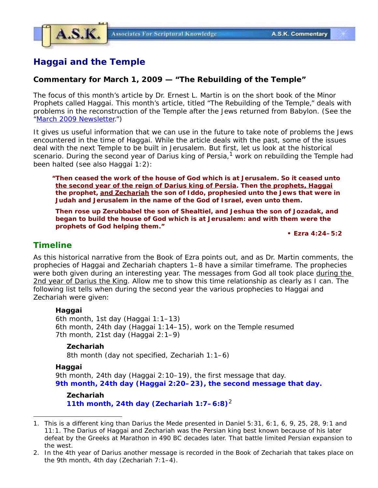

# **Haggai and the Temple**

### **Commentary for March 1, 2009 — "The Rebuilding of the Temple"**

The focus of this month's article by Dr. Ernest L. Martin is on the short book of the Minor Prophets called Haggai. This month's article, titled "The Rebuilding of the Temple," deals with problems in the reconstruction of the Temple after the Jews returned from Babylon. (See the ["March 2009 Newsletter.](http://askelm.com/newsletter/l200903.htm)")

It gives us useful information that we can use in the future to take note of problems the Jews encountered in the time of Haggai. While the article deals with the past, some of the issues deal with the next Temple to be built in Jerusalem. But first, let us look at the historical scenario. During the second year of Darius king of Persia, $1 \text{ work}$  on rebuilding the Temple had been halted (see also Haggai 1:2):

**"Then ceased the work of the house of God which is at Jerusalem. So it ceased unto the second year of the reign of Darius king of Persia. Then the prophets, Haggai the prophet, and Zechariah the son of Iddo, prophesied unto the Jews that were in Judah and Jerusalem in the name of the God of Israel, even unto them.**

**Then rose up Zerubbabel the son of Shealtiel, and Jeshua the son of Jozadak, and began to build the house of God which is at Jerusalem: and with them were the prophets of God helping them."**

*• Ezra 4:24–5:2*

## *Timeline*

As this historical narrative from the Book of Ezra points out, and as Dr. Martin comments, the prophecies of Haggai and Zechariah chapters 1–8 have a similar timeframe. The prophecies were both given during an interesting year. The messages from God all took place during the 2nd year of Darius the King. Allow me to show this time relationship as clearly as I can. The following list tells when during the second year the various prophecies to Haggai and Zechariah were given:

#### **Haggai**

6th month, 1st day (Haggai 1:1–13) 6th month, 24th day (Haggai 1:14–15), work on the Temple resumed 7th month, 21st day (Haggai 2:1–9)

#### **Zechariah**

8th month (day not specified, Zechariah 1:1–6)

#### **Haggai**

9th month, 24th day (Haggai 2:10–19), the first message that day. *9th month, 24th day (Haggai 2:20–23), the second message that day.*

**Zechariah 11th month, 24th day (Zechariah 1:7–6:8)**<sup>2</sup>

<sup>1.</sup> This is a different king than Darius the Mede presented in Daniel 5:31, 6:1, 6, 9, 25, 28, 9:1 and 11:1. The Darius of Haggai and Zechariah was the Persian king best known because of his later defeat by the Greeks at Marathon in 490 BC decades later. That battle limited Persian expansion to the west.

<sup>2.</sup> In the 4th year of Darius another message is recorded in the Book of Zechariah that takes place on the 9th month, 4th day (Zechariah 7:1–4).